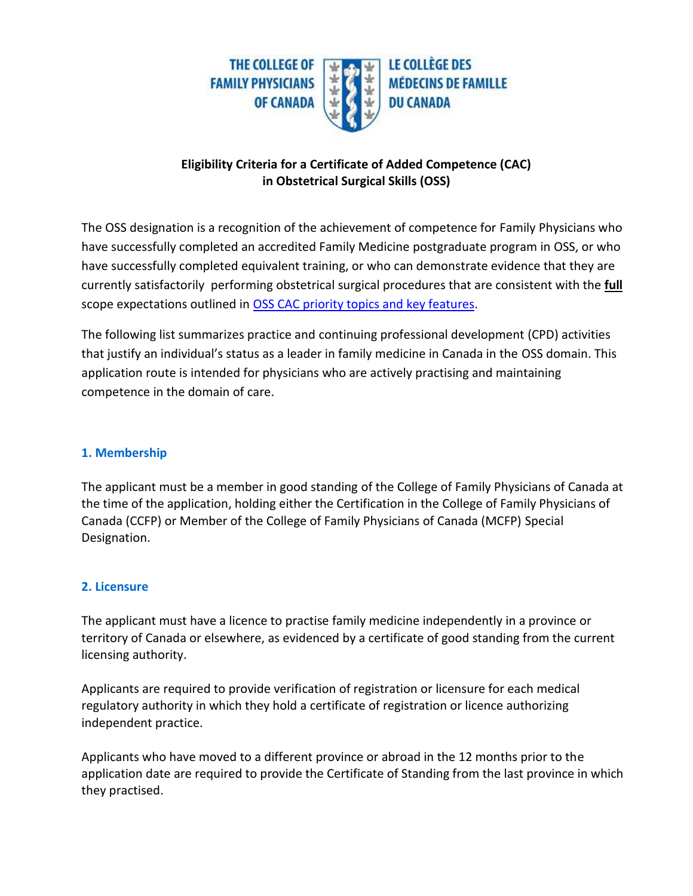

## **Eligibility Criteria for a Certificate of Added Competence (CAC) in Obstetrical Surgical Skills (OSS)**

The OSS designation is a recognition of the achievement of competence for Family Physicians who have successfully completed an accredited Family Medicine postgraduate program in OSS, or who have successfully completed equivalent training, or who can demonstrate evidence that they are currently satisfactorily performing obstetrical surgical procedures that are consistent with the **full** scope expectations outlined in [OSS CAC priority topics and key features.](https://www.cfpc.ca/uploadedFiles/Education/OSS-Priority-Topics-Key-Features-EN-20190918.pdf)

The following list summarizes practice and continuing professional development (CPD) activities that justify an individual's status as a leader in family medicine in Canada in the OSS domain. This application route is intended for physicians who are actively practising and maintaining competence in the domain of care.

### **1. Membership**

The applicant must be a member in good standing of the College of Family Physicians of Canada at the time of the application, holding either the Certification in the College of Family Physicians of Canada (CCFP) or Member of the College of Family Physicians of Canada (MCFP) Special Designation.

#### **2. Licensure**

The applicant must have a licence to practise family medicine independently in a province or territory of Canada or elsewhere, as evidenced by a certificate of good standing from the current licensing authority.

Applicants are required to provide verification of registration or licensure for each medical regulatory authority in which they hold a certificate of registration or licence authorizing independent practice.

Applicants who have moved to a different province or abroad in the 12 months prior to the application date are required to provide the Certificate of Standing from the last province in which they practised.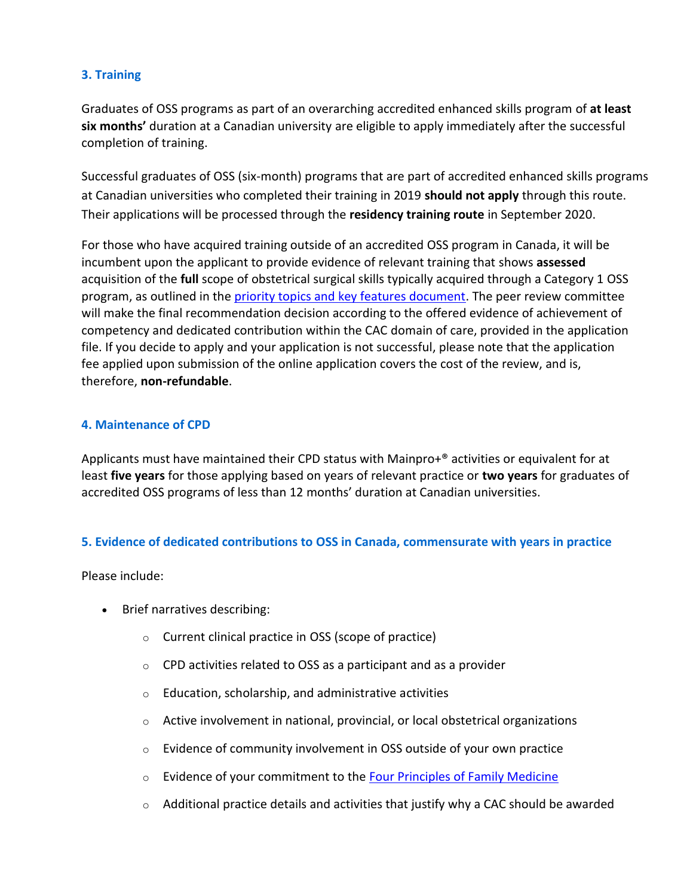# **3. Training**

Graduates of OSS programs as part of an overarching accredited enhanced skills program of **at least six months'** duration at a Canadian university are eligible to apply immediately after the successful completion of training.

Successful graduates of OSS (six-month) programs that are part of accredited enhanced skills programs at Canadian universities who completed their training in 2019 **should not apply** through this route. Their applications will be processed through the **residency training route** in September 2020.

For those who have acquired training outside of an accredited OSS program in Canada, it will be incumbent upon the applicant to provide evidence of relevant training that shows **assessed**  acquisition of the **full** scope of obstetrical surgical skills typically acquired through a Category 1 OSS program, as outlined in the [priority topics and key features document.](https://www.cfpc.ca/uploadedFiles/Education/OSS-Priority-Topics-Key-Features-EN-20190918.pdf) The peer review committee will make the final recommendation decision according to the offered evidence of achievement of competency and dedicated contribution within the CAC domain of care, provided in the application file. If you decide to apply and your application is not successful, please note that the application fee applied upon submission of the online application covers the cost of the review, and is, therefore, **non-refundable**.

#### **4. Maintenance of CPD**

Applicants must have maintained their CPD status with Mainpro+® activities or equivalent for at least **five years** for those applying based on years of relevant practice or **two years** for graduates of accredited OSS programs of less than 12 months' duration at Canadian universities.

### **5. Evidence of dedicated contributions to OSS in Canada, commensurate with years in practice**

Please include:

- Brief narratives describing:
	- o Current clinical practice in OSS (scope of practice)
	- $\circ$  CPD activities related to OSS as a participant and as a provider
	- $\circ$  Education, scholarship, and administrative activities
	- o Active involvement in national, provincial, or local obstetrical organizations
	- o Evidence of community involvement in OSS outside of your own practice
	- $\circ$  Evidence of your commitment to the [Four Principles of Family Medicine](http://www.cfpc.ca/Principles/)
	- $\circ$  Additional practice details and activities that justify why a CAC should be awarded